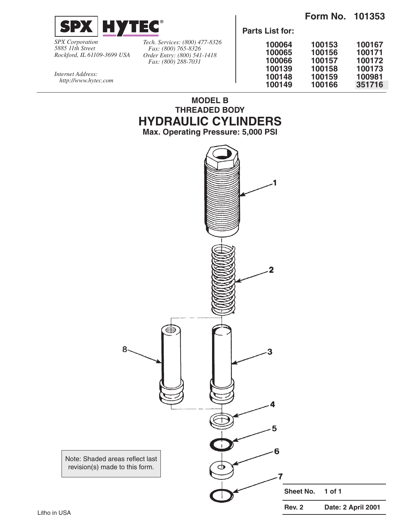



*SPX Corporation 5885 11th Street Rockford, IL 61109-3699 USA* *Tech. Services: (800) 477-8326 Fax: (800) 765-8326 Order Entry: (800) 541-1418 Fax: (800) 288-7031*

**MODEL B THREADED BODY HYDRAULIC CYLINDERS Max. Operating Pressure: 5,000 PSI**

**Parts List for:**

| 100064 | 100153 | 100167 |
|--------|--------|--------|
| 100065 | 100156 | 100171 |
| 100066 | 100157 | 100172 |
| 100139 | 100158 | 100173 |
| 100148 | 100159 | 100981 |
| 100149 | 100166 | 351716 |
|        |        |        |

*Internet Address: http://www.hytec.com*